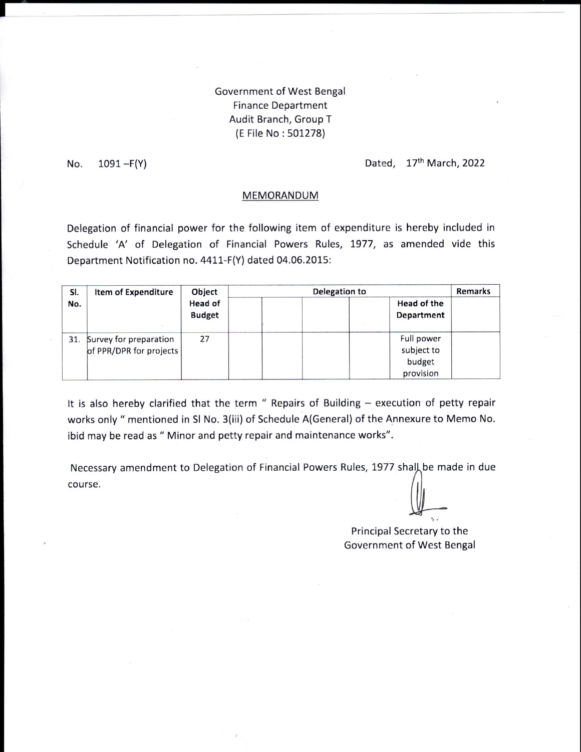## Government of West Bengal **Finance Department** Audit Branch, Group T (E File No: 501278)

 $1091 - F(Y)$ No.

Dated, 17th March, 2022

## MEMORANDUM

Delegation of financial power for the following item of expenditure is hereby included in Schedule 'A' of Delegation of Financial Powers Rules, 1977, as amended vide this Department Notification no. 4411-F(Y) dated 04.06.2015:

| SI.<br>No. | Item of Expenditure                                   | Object<br>Head of<br><b>Budget</b> | Delegation to                                   | <b>Remarks</b> |
|------------|-------------------------------------------------------|------------------------------------|-------------------------------------------------|----------------|
|            |                                                       |                                    | Head of the<br>Department                       |                |
|            | 31. Survey for preparation<br>of PPR/DPR for projects | 27                                 | Full power<br>subject to<br>budget<br>provision |                |

It is also hereby clarified that the term " Repairs of Building - execution of petty repair works only " mentioned in SI No. 3(iii) of Schedule A(General) of the Annexure to Memo No. ibid may be read as " Minor and petty repair and maintenance works".

Necessary amendment to Delegation of Financial Powers Rules, 1977 shall be made in due course.

Principal Secretary to the Government of West Bengal